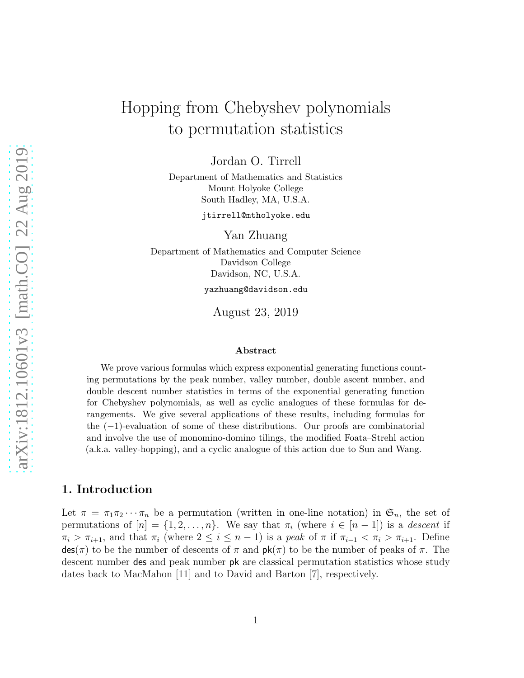# Hopping from Chebyshev polynomials to permutation statistics

Jordan O. Tirrell

Department of Mathematics and Statistics Mount Holyoke College South Hadley, MA, U.S.A.

jtirrell@mtholyoke.edu

Yan Zhuang

Department of Mathematics and Computer Science Davidson College Davidson, NC, U.S.A.

yazhuang@davidson.edu

August 23, 2019

#### Abstract

We prove various formulas which express exponential generating functions counting permutations by the peak number, valley number, double ascent number, and double descent number statistics in terms of the exponential generating function for Chebyshev polynomials, as well as cyclic analogues of these formulas for derangements. We give several applications of these results, including formulas for the (−1)-evaluation of some of these distributions. Our proofs are combinatorial and involve the use of monomino-domino tilings, the modified Foata–Strehl action (a.k.a. valley-hopping), and a cyclic analogue of this action due to Sun and Wang.

# 1. Introduction

Let  $\pi = \pi_1 \pi_2 \cdots \pi_n$  be a permutation (written in one-line notation) in  $\mathfrak{S}_n$ , the set of permutations of  $[n] = \{1, 2, \ldots, n\}$ . We say that  $\pi_i$  (where  $i \in [n-1]$ ) is a descent if  $\pi_i > \pi_{i+1}$ , and that  $\pi_i$  (where  $2 \leq i \leq n-1$ ) is a peak of  $\pi$  if  $\pi_{i-1} < \pi_i > \pi_{i+1}$ . Define  $\textsf{des}(\pi)$  to be the number of descents of  $\pi$  and  $\textsf{pk}(\pi)$  to be the number of peaks of  $\pi$ . The descent number des and peak number pk are classical permutation statistics whose study dates back to MacMahon [\[11\]](#page-16-0) and to David and Barton [\[7\]](#page-16-1), respectively.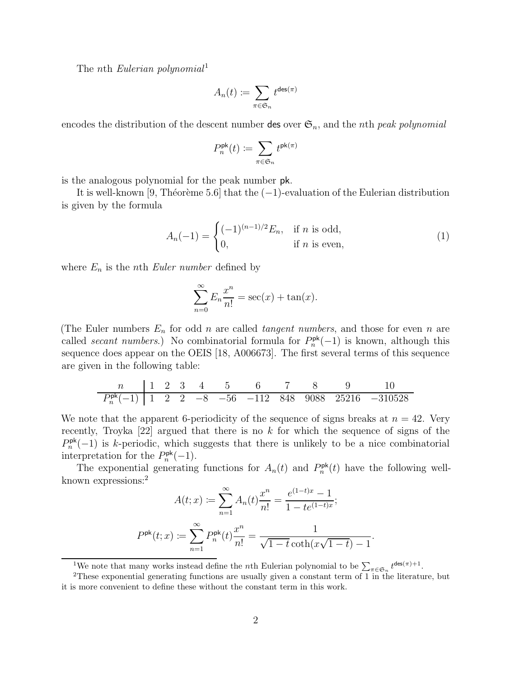The nth Eulerian polynomial<sup>[1](#page-1-0)</sup>

$$
A_n(t):=\sum_{\pi\in\mathfrak{S}_n}t^{{\rm des}(\pi)}
$$

encodes the distribution of the descent number des over  $\mathfrak{S}_n$ , and the *n*th *peak polynomial* 

$$
P_n^{\rm pk}(t) \coloneqq \sum_{\pi \in \mathfrak{S}_n} t^{{\rm pk}(\pi)}
$$

is the analogous polynomial for the peak number pk.

It is well-known [\[9,](#page-16-2) Théorème 5.6] that the  $(-1)$ -evaluation of the Eulerian distribution is given by the formula

<span id="page-1-2"></span>
$$
A_n(-1) = \begin{cases} (-1)^{(n-1)/2} E_n, & \text{if } n \text{ is odd,} \\ 0, & \text{if } n \text{ is even,} \end{cases}
$$
 (1)

where  $E_n$  is the *n*th *Euler number* defined by

$$
\sum_{n=0}^{\infty} E_n \frac{x^n}{n!} = \sec(x) + \tan(x).
$$

(The Euler numbers  $E_n$  for odd n are called *tangent numbers*, and those for even n are called secant numbers.) No combinatorial formula for  $P_n^{\mathsf{pk}}(-1)$  is known, although this sequence does appear on the OEIS [\[18,](#page-16-3) A006673]. The first several terms of this sequence are given in the following table:

| n                     | 1 | 2 | 3 | 4  | 5   | 6    | 7   | 8    | 9     | 10      |
|-----------------------|---|---|---|----|-----|------|-----|------|-------|---------|
| $P_n^{\text{pk}}(-1)$ | 1 | 2 | 2 | -8 | -56 | -112 | 848 | 9088 | 25216 | -310528 |

We note that the apparent 6-periodicity of the sequence of signs breaks at  $n = 42$ . Very recently, Troyka  $[22]$  argued that there is no k for which the sequence of signs of the  $P_n^{\mathsf{pk}}(-1)$  is k-periodic, which suggests that there is unlikely to be a nice combinatorial interpretation for the  $P_n^{\mathsf{pk}}(-1)$ .

The exponential generating functions for  $A_n(t)$  and  $P_n^{\mathsf{pk}}(t)$  have the following well-known expressions:<sup>[2](#page-1-1)</sup>

$$
A(t;x) := \sum_{n=1}^{\infty} A_n(t) \frac{x^n}{n!} = \frac{e^{(1-t)x} - 1}{1 - te^{(1-t)x}};
$$

$$
P^{\mathrm{pk}}(t;x) := \sum_{n=1}^{\infty} P_n^{\mathrm{pk}}(t) \frac{x^n}{n!} = \frac{1}{\sqrt{1 - t} \coth(x\sqrt{1 - t}) - 1}.
$$

<span id="page-1-0"></span><sup>1</sup>We note that many works instead define the *n*th Eulerian polynomial to be  $\sum_{\pi \in \mathfrak{S}_n} t^{\text{des}(\pi)+1}$ .

<span id="page-1-1"></span><sup>2</sup>These exponential generating functions are usually given a constant term of 1 in the literature, but it is more convenient to define these without the constant term in this work.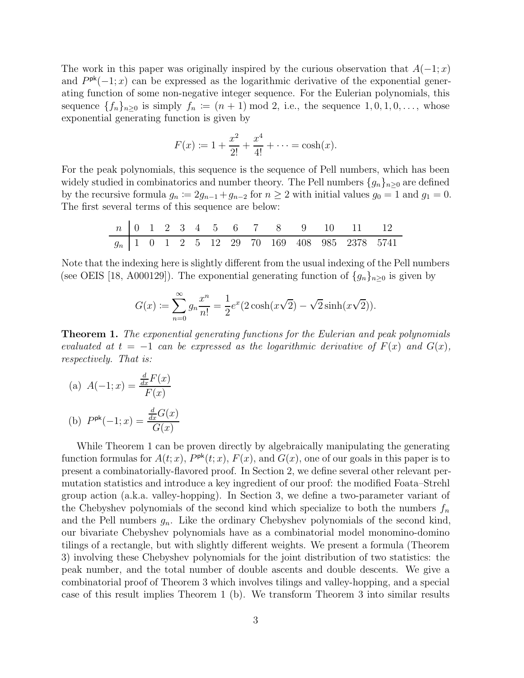The work in this paper was originally inspired by the curious observation that  $A(-1; x)$ and  $P^{pk}(-1; x)$  can be expressed as the logarithmic derivative of the exponential generating function of some non-negative integer sequence. For the Eulerian polynomials, this sequence  $\{f_n\}_{n\geq 0}$  is simply  $f_n := (n+1) \mod 2$ , i.e., the sequence  $1, 0, 1, 0, \ldots$ , whose exponential generating function is given by

$$
F(x) := 1 + \frac{x^2}{2!} + \frac{x^4}{4!} + \dots = \cosh(x).
$$

For the peak polynomials, this sequence is the sequence of Pell numbers, which has been widely studied in combinatorics and number theory. The Pell numbers  $\{g_n\}_{n\geq 0}$  are defined by the recursive formula  $g_n := 2g_{n-1} + g_{n-2}$  for  $n \ge 2$  with initial values  $g_0 = 1$  and  $g_1 = 0$ . The first several terms of this sequence are below:

| n     | 0 | 1 | 2 | 3 | 4 | 5  | 6  | 7  | 8   | 9   | 10  | 11   | 12   |
|-------|---|---|---|---|---|----|----|----|-----|-----|-----|------|------|
| $g_n$ | 1 | 0 | 1 | 2 | 5 | 12 | 29 | 70 | 169 | 408 | 985 | 2378 | 5741 |

Note that the indexing here is slightly different from the usual indexing of the Pell numbers (see OEIS [\[18,](#page-16-3) A000129]). The exponential generating function of  $\{g_n\}_{n\geq 0}$  is given by

$$
G(x) := \sum_{n=0}^{\infty} g_n \frac{x^n}{n!} = \frac{1}{2} e^x (2 \cosh(x\sqrt{2}) - \sqrt{2} \sinh(x\sqrt{2})).
$$

<span id="page-2-0"></span>**Theorem 1.** The exponential generating functions for the Eulerian and peak polynomials evaluated at  $t = -1$  can be expressed as the logarithmic derivative of  $F(x)$  and  $G(x)$ , respectively. That is:

(a) 
$$
A(-1; x) = \frac{\frac{d}{dx}F(x)}{F(x)}
$$
  
(b)  $P^{pk}(-1; x) = \frac{\frac{d}{dx}G(x)}{G(x)}$ 

While Theorem [1](#page-2-0) can be proven directly by algebraically manipulating the generating function formulas for  $A(t; x)$ ,  $P^{\mathsf{pk}}(t; x)$ ,  $F(x)$ , and  $G(x)$ , one of our goals in this paper is to present a combinatorially-flavored proof. In Section 2, we define several other relevant permutation statistics and introduce a key ingredient of our proof: the modified Foata–Strehl group action (a.k.a. valley-hopping). In Section 3, we define a two-parameter variant of the Chebyshev polynomials of the second kind which specialize to both the numbers  $f_n$ and the Pell numbers  $g_n$ . Like the ordinary Chebyshev polynomials of the second kind, our bivariate Chebyshev polynomials have as a combinatorial model monomino-domino tilings of a rectangle, but with slightly different weights. We present a formula (Theorem [3\)](#page-6-0) involving these Chebyshev polynomials for the joint distribution of two statistics: the peak number, and the total number of double ascents and double descents. We give a combinatorial proof of Theorem [3](#page-6-0) which involves tilings and valley-hopping, and a special case of this result implies Theorem [1](#page-2-0) (b). We transform Theorem 3 into similar results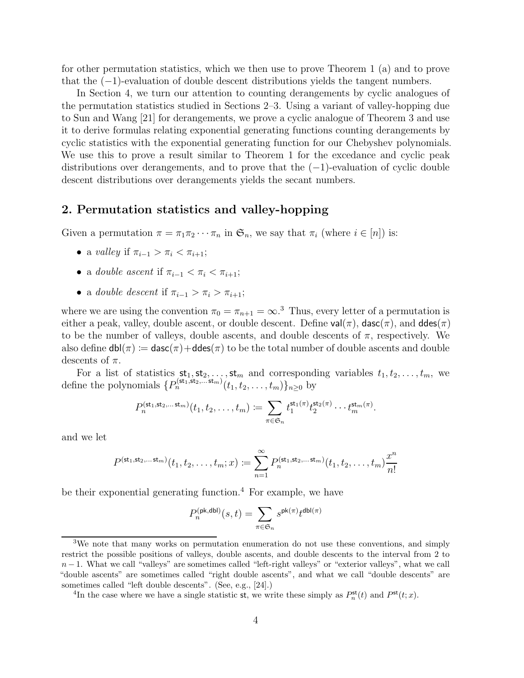for other permutation statistics, which we then use to prove Theorem [1](#page-2-0) (a) and to prove that the (−1)-evaluation of double descent distributions yields the tangent numbers.

In Section 4, we turn our attention to counting derangements by cyclic analogues of the permutation statistics studied in Sections 2–3. Using a variant of valley-hopping due to Sun and Wang [\[21\]](#page-16-5) for derangements, we prove a cyclic analogue of Theorem [3](#page-6-0) and use it to derive formulas relating exponential generating functions counting derangements by cyclic statistics with the exponential generating function for our Chebyshev polynomials. We use this to prove a result similar to Theorem [1](#page-2-0) for the excedance and cyclic peak distributions over derangements, and to prove that the  $(-1)$ -evaluation of cyclic double descent distributions over derangements yields the secant numbers.

### 2. Permutation statistics and valley-hopping

Given a permutation  $\pi = \pi_1 \pi_2 \cdots \pi_n$  in  $\mathfrak{S}_n$ , we say that  $\pi_i$  (where  $i \in [n]$ ) is:

- a valley if  $\pi_{i-1} > \pi_i < \pi_{i+1}$ ;
- a double ascent if  $\pi_{i-1} < \pi_i < \pi_{i+1}$ ;
- a double descent if  $\pi_{i-1} > \pi_i > \pi_{i+1}$ ;

where we are using the convention  $\pi_0 = \pi_{n+1} = \infty$ .<sup>[3](#page-3-0)</sup> Thus, every letter of a permutation is either a peak, valley, double ascent, or double descent. Define  $val(\pi)$ , dasc $(\pi)$ , and ddes $(\pi)$ to be the number of valleys, double ascents, and double descents of  $\pi$ , respectively. We also define  $dbl(\pi) := dasc(\pi) + ddes(\pi)$  to be the total number of double ascents and double descents of  $\pi$ .

For a list of statistics  $\mathsf{st}_1, \mathsf{st}_2, \ldots, \mathsf{st}_m$  and corresponding variables  $t_1, t_2, \ldots, t_m$ , we define the polynomials  $\{P_n^{(\text{st}_1, \text{st}_2, \dots, \text{st}_m)}(t_1, t_2, \dots, t_m)\}_{n \geq 0}$  by

$$
P_n^{(\mathsf{st}_1, \mathsf{st}_2, \dots \mathsf{st}_m)}(t_1, t_2, \dots, t_m) \coloneqq \sum_{\pi \in \mathfrak{S}_n} t_1^{\mathsf{st}_1(\pi)} t_2^{\mathsf{st}_2(\pi)} \cdots t_m^{\mathsf{st}_m(\pi)}.
$$

and we let

$$
P^{(\mathsf{st}_1, \mathsf{st}_2, \dots, \mathsf{st}_m)}(t_1, t_2, \dots, t_m; x) \coloneqq \sum_{n=1}^{\infty} P_n^{(\mathsf{st}_1, \mathsf{st}_2, \dots, \mathsf{st}_m)}(t_1, t_2, \dots, t_m) \frac{x^n}{n!}
$$

be their exponential generating function.<sup>[4](#page-3-1)</sup> For example, we have

$$
P_n^{(\mathrm{pk},\mathrm{dbl})}(s,t)=\sum_{\pi\in\mathfrak{S}_n} s^{\mathrm{pk}(\pi)} t^{\mathrm{dbl}(\pi)}
$$

<span id="page-3-0"></span><sup>3</sup>We note that many works on permutation enumeration do not use these conventions, and simply restrict the possible positions of valleys, double ascents, and double descents to the interval from 2 to  $n-1$ . What we call "valleys" are sometimes called "left-right valleys" or "exterior valleys", what we call "double ascents" are sometimes called "right double ascents", and what we call "double descents" are sometimes called "left double descents". (See, e.g., [\[24\]](#page-16-6).)

<span id="page-3-1"></span><sup>&</sup>lt;sup>4</sup>In the case where we have a single statistic st, we write these simply as  $P_n^{\text{st}}(t)$  and  $P^{\text{st}}(t; x)$ .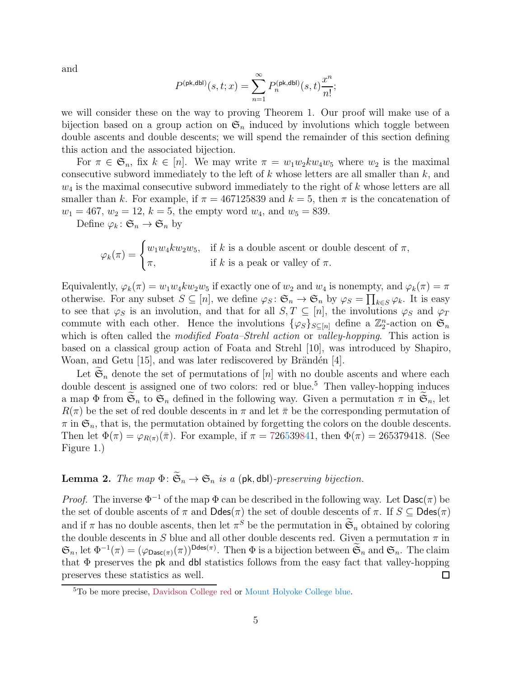and

$$
P^{(\mathrm{pk},\mathrm{dbl})}(s,t;x) = \sum_{n=1}^{\infty} P_n^{(\mathrm{pk},\mathrm{dbl})}(s,t) \frac{x^n}{n!};
$$

we will consider these on the way to proving Theorem [1.](#page-2-0) Our proof will make use of a bijection based on a group action on  $\mathfrak{S}_n$  induced by involutions which toggle between double ascents and double descents; we will spend the remainder of this section defining this action and the associated bijection.

For  $\pi \in \mathfrak{S}_n$ , fix  $k \in [n]$ . We may write  $\pi = w_1 w_2 k w_4 w_5$  where  $w_2$  is the maximal consecutive subword immediately to the left of  $k$  whose letters are all smaller than  $k$ , and  $w_4$  is the maximal consecutive subword immediately to the right of k whose letters are all smaller than k. For example, if  $\pi = 467125839$  and  $k = 5$ , then  $\pi$  is the concatenation of  $w_1 = 467, w_2 = 12, k = 5$ , the empty word  $w_4$ , and  $w_5 = 839$ .

Define  $\varphi_k: \mathfrak{S}_n \to \mathfrak{S}_n$  by

$$
\varphi_k(\pi) = \begin{cases} w_1 w_4 k w_2 w_5, & \text{if } k \text{ is a double ascent or double descent of } \pi, \\ \pi, & \text{if } k \text{ is a peak or valley of } \pi. \end{cases}
$$

Equivalently,  $\varphi_k(\pi) = w_1w_4kw_2w_5$  if exactly one of  $w_2$  and  $w_4$  is nonempty, and  $\varphi_k(\pi) = \pi$ otherwise. For any subset  $S \subseteq [n]$ , we define  $\varphi_S : \mathfrak{S}_n \to \mathfrak{S}_n$  by  $\varphi_S = \prod_{k \in S} \varphi_k$ . It is easy to see that  $\varphi_S$  is an involution, and that for all  $S, T \subseteq [n]$ , the involutions  $\varphi_S$  and  $\varphi_T$ commute with each other. Hence the involutions  $\{\varphi_S\}_{S \subseteq [n]}$  define a  $\mathbb{Z}_2^n$ -action on  $\mathfrak{S}_n$ which is often called the *modified Foata–Strehl action* or *valley-hopping*. This action is based on a classical group action of Foata and Strehl [\[10\]](#page-16-7), was introduced by Shapiro, Woan, and Getu  $[15]$ , and was later rediscovered by Brändén  $[4]$ .

Let  $\mathfrak{S}_n$  denote the set of permutations of [n] with no double ascents and where each double descent is assigned one of two colors: red or blue.<sup>[5](#page-4-0)</sup> Then valley-hopping induces a map  $\Phi$  from  $\mathfrak{S}_n$  to  $\mathfrak{S}_n$  defined in the following way. Given a permutation  $\pi$  in  $\mathfrak{S}_n$ , let  $R(\pi)$  be the set of red double descents in  $\pi$  and let  $\bar{\pi}$  be the corresponding permutation of  $\pi$  in  $\mathfrak{S}_n$ , that is, the permutation obtained by forgetting the colors on the double descents. Then let  $\Phi(\pi) = \varphi_{R(\pi)}(\bar{\pi})$ . For example, if  $\pi = 726539841$ , then  $\Phi(\pi) = 265379418$ . (See Figure 1.)

# <span id="page-4-1"></span>**Lemma 2.** The map  $\Phi: \widetilde{\mathfrak{S}}_n \to \mathfrak{S}_n$  is a (pk, dbl)-preserving bijection.

*Proof.* The inverse  $\Phi^{-1}$  of the map  $\Phi$  can be described in the following way. Let  $\textsf{Dasc}(\pi)$  be the set of double ascents of  $\pi$  and  $\text{Ddes}(\pi)$  the set of double descents of  $\pi$ . If  $S \subseteq \text{Ddes}(\pi)$ and if  $\pi$  has no double ascents, then let  $\pi^S$  be the permutation in  $\widetilde{\mathfrak{S}}_n$  obtained by coloring the double descents in S blue and all other double descents red. Given a permutation  $\pi$  in  $\mathfrak{S}_n$ , let  $\Phi^{-1}(\pi) = (\varphi_{\text{Dasc}(\pi)}(\pi))^{\text{Ddes}(\pi)}$ . Then  $\Phi$  is a bijection between  $\widetilde{\mathfrak{S}}_n$  and  $\mathfrak{S}_n$ . The claim that Φ preserves the pk and dbl statistics follows from the easy fact that valley-hopping preserves these statistics as well.  $\Box$ 

<span id="page-4-0"></span><sup>5</sup>To be more precise, Davidson College red or Mount Holyoke College blue.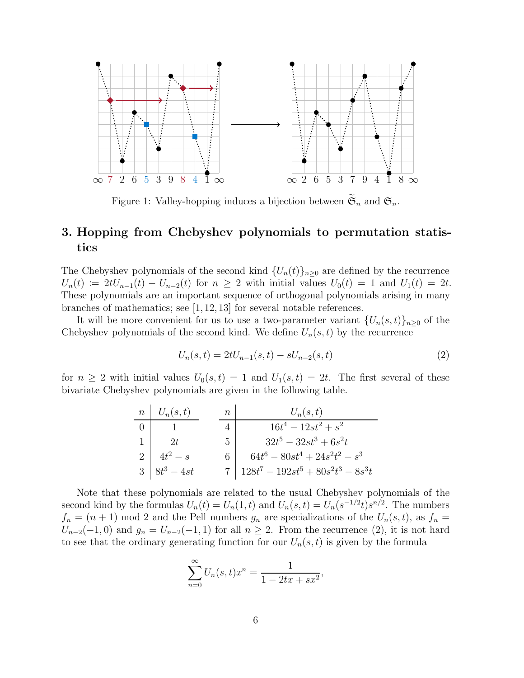

Figure 1: Valley-hopping induces a bijection between  $\mathfrak{S}_n$  and  $\mathfrak{S}_n$ .

# 3. Hopping from Chebyshev polynomials to permutation statistics

The Chebyshev polynomials of the second kind  $\{U_n(t)\}_{n\geq 0}$  are defined by the recurrence  $U_n(t) := 2tU_{n-1}(t) - U_{n-2}(t)$  for  $n \geq 2$  with initial values  $U_0(t) = 1$  and  $U_1(t) = 2t$ . These polynomials are an important sequence of orthogonal polynomials arising in many branches of mathematics; see [\[1,](#page-15-0) [12,](#page-16-10) [13\]](#page-16-11) for several notable references.

It will be more convenient for us to use a two-parameter variant  $\{U_n(s,t)\}_{n\geq 0}$  of the Chebyshev polynomials of the second kind. We define  $U_n(s,t)$  by the recurrence

<span id="page-5-0"></span>
$$
U_n(s,t) = 2tU_{n-1}(s,t) - sU_{n-2}(s,t)
$$
\n(2)

for  $n \geq 2$  with initial values  $U_0(s,t) = 1$  and  $U_1(s,t) = 2t$ . The first several of these bivariate Chebyshev polynomials are given in the following table.

| $n \mid U_n(s,t)$ | $\,n$ | $U_n(s,t)$                                 |
|-------------------|-------|--------------------------------------------|
|                   |       | $16t^4 - 12st^2 + s^2$                     |
| 2t                |       | $32t^5 - 32st^3 + 6s^2t$<br>5 <sup>1</sup> |
| $4t^2-s$          |       | $64t^6 - 80st^4 + 24s^2t^2 - s^3$          |
| $3 8t^3-4st$      |       | 7   $128t^7 - 192st^5 + 80s^2t^3 - 8s^3t$  |

Note that these polynomials are related to the usual Chebyshev polynomials of the second kind by the formulas  $U_n(t) = U_n(1, t)$  and  $U_n(s, t) = U_n(s^{-1/2}t)s^{n/2}$ . The numbers  $f_n = (n+1) \mod 2$  and the Pell numbers  $g_n$  are specializations of the  $U_n(s,t)$ , as  $f_n =$  $U_{n-2}(-1,0)$  and  $g_n = U_{n-2}(-1,1)$  for all  $n \geq 2$ . From the recurrence [\(2\)](#page-5-0), it is not hard to see that the ordinary generating function for our  $U_n(s, t)$  is given by the formula

$$
\sum_{n=0}^{\infty} U_n(s, t)x^n = \frac{1}{1 - 2tx + sx^2},
$$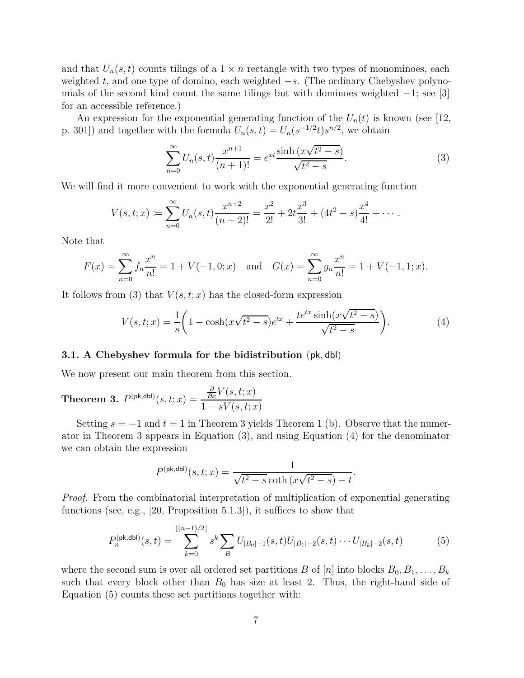and that  $U_n(s, t)$  counts tilings of a  $1 \times n$  rectangle with two types of monominoes, each weighted t, and one type of domino, each weighted  $-s$ . (The ordinary Chebyshev polynomials of the second kind count the same tilings but with dominoes weighted  $-1$ ; see [\[3\]](#page-16-12) for an accessible reference.)

An expression for the exponential generating function of the  $U_n(t)$  is known (see [\[12,](#page-16-10) p. 301]) and together with the formula  $U_n(s,t) = U_n(s^{-1/2}t)s^{n/2}$ , we obtain

<span id="page-6-1"></span>
$$
\sum_{n=0}^{\infty} U_n(s,t) \frac{x^{n+1}}{(n+1)!} = e^{xt} \frac{\sinh(x\sqrt{t^2 - s})}{\sqrt{t^2 - s}}.
$$
\n(3)

We will find it more convenient to work with the exponential generating function

$$
V(s,t;x) \coloneqq \sum_{n=0}^{\infty} U_n(s,t) \frac{x^{n+2}}{(n+2)!} = \frac{x^2}{2!} + 2t \frac{x^3}{3!} + (4t^2 - s) \frac{x^4}{4!} + \cdots
$$

Note that

$$
F(x) = \sum_{n=0}^{\infty} f_n \frac{x^n}{n!} = 1 + V(-1, 0; x) \text{ and } G(x) = \sum_{n=0}^{\infty} g_n \frac{x^n}{n!} = 1 + V(-1, 1; x).
$$

It follows from [\(3\)](#page-6-1) that  $V(s,t;x)$  has the closed-form expression

<span id="page-6-2"></span>
$$
V(s,t;x) = \frac{1}{s} \left( 1 - \cosh(x\sqrt{t^2 - s})e^{tx} + \frac{te^{tx} \sinh(x\sqrt{t^2 - s})}{\sqrt{t^2 - s}} \right).
$$
 (4)

#### 3.1. A Chebyshev formula for the bidistribution (pk, dbl)

We now present our main theorem from this section.

<span id="page-6-0"></span>**Theorem 3.** 
$$
P^{(\text{pk},\text{dbl})}(s,t;x) = \frac{\frac{\partial}{\partial x}V(s,t;x)}{1 - sV(s,t;x)}
$$

Setting  $s = -1$  and  $t = 1$  $t = 1$  in Theorem [3](#page-6-0) yields Theorem 1 (b). Observe that the numerator in Theorem [3](#page-6-0) appears in Equation [\(3\)](#page-6-1), and using Equation [\(4\)](#page-6-2) for the denominator we can obtain the expression

<span id="page-6-3"></span>
$$
P^{(\text{pk},\text{dbl})}(s,t;x) = \frac{1}{\sqrt{t^2 - s} \coth(x\sqrt{t^2 - s}) - t}.
$$

Proof. From the combinatorial interpretation of multiplication of exponential generating functions (see, e.g., [\[20,](#page-16-13) Proposition 5.1.3]), it suffices to show that

$$
P_n^{(\text{pk},\text{dbl})}(s,t) = \sum_{k=0}^{\lfloor (n-1)/2 \rfloor} s^k \sum_B U_{|B_0|-1}(s,t) U_{|B_1|-2}(s,t) \cdots U_{|B_k|-2}(s,t)
$$
(5)

where the second sum is over all ordered set partitions B of  $[n]$  into blocks  $B_0, B_1, \ldots, B_k$ such that every block other than  $B_0$  has size at least 2. Thus, the right-hand side of Equation [\(5\)](#page-6-3) counts these set partitions together with: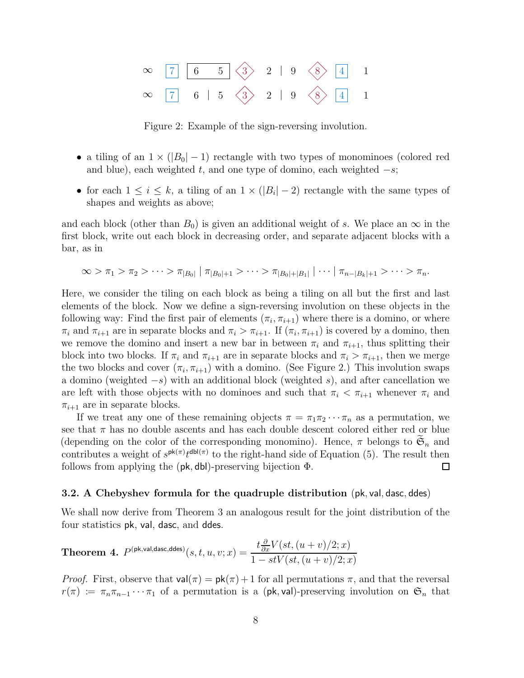

Figure 2: Example of the sign-reversing involution.

- a tiling of an  $1 \times (|B_0| 1)$  rectangle with two types of monominoes (colored red and blue), each weighted t, and one type of domino, each weighted  $-s$ ;
- for each  $1 \leq i \leq k$ , a tiling of an  $1 \times (|B_i| 2)$  rectangle with the same types of shapes and weights as above;

and each block (other than  $B_0$ ) is given an additional weight of s. We place an  $\infty$  in the first block, write out each block in decreasing order, and separate adjacent blocks with a bar, as in

$$
\infty > \pi_1 > \pi_2 > \cdots > \pi_{|B_0|} | \pi_{|B_0|+1} > \cdots > \pi_{|B_0|+|B_1|} | \cdots | \pi_{n-|B_k|+1} > \cdots > \pi_n.
$$

Here, we consider the tiling on each block as being a tiling on all but the first and last elements of the block. Now we define a sign-reversing involution on these objects in the following way: Find the first pair of elements  $(\pi_i, \pi_{i+1})$  where there is a domino, or where  $\pi_i$  and  $\pi_{i+1}$  are in separate blocks and  $\pi_i > \pi_{i+1}$ . If  $(\pi_i, \pi_{i+1})$  is covered by a domino, then we remove the domino and insert a new bar in between  $\pi_i$  and  $\pi_{i+1}$ , thus splitting their block into two blocks. If  $\pi_i$  and  $\pi_{i+1}$  are in separate blocks and  $\pi_i > \pi_{i+1}$ , then we merge the two blocks and cover  $(\pi_i, \pi_{i+1})$  with a domino. (See Figure 2.) This involution swaps a domino (weighted  $-s$ ) with an additional block (weighted s), and after cancellation we are left with those objects with no dominoes and such that  $\pi_i < \pi_{i+1}$  whenever  $\pi_i$  and  $\pi_{i+1}$  are in separate blocks.

If we treat any one of these remaining objects  $\pi = \pi_1 \pi_2 \cdots \pi_n$  as a permutation, we see that  $\pi$  has no double ascents and has each double descent colored either red or blue (depending on the color of the corresponding monomino). Hence,  $\pi$  belongs to  $\widetilde{\mathfrak{S}}_n$  and contributes a weight of  $s^{\mathsf{pk}(\pi)} t^{\mathsf{dbl}(\pi)}$  to the right-hand side of Equation [\(5\)](#page-6-3). The result then follows from applying the  $(\mathsf{pk}, \mathsf{dbl})$ -preserving bijection  $\Phi$ .  $\Box$ 

#### 3.2. A Chebyshev formula for the quadruple distribution (pk, val, dasc, ddes)

We shall now derive from Theorem [3](#page-6-0) an analogous result for the joint distribution of the four statistics pk, val, dasc, and ddes.

<span id="page-7-0"></span>**Theorem 4.** 
$$
P^{(\text{pk}, \text{val}, \text{dasc}, \text{ddes})}(s, t, u, v; x) = \frac{t \frac{\partial}{\partial x} V(st, (u+v)/2; x)}{1 - stV(st, (u+v)/2; x)}
$$

*Proof.* First, observe that  $val(\pi) = pk(\pi) + 1$  for all permutations  $\pi$ , and that the reversal  $r(\pi) := \pi_n \pi_{n-1} \cdots \pi_1$  of a permutation is a (pk, val)-preserving involution on  $\mathfrak{S}_n$  that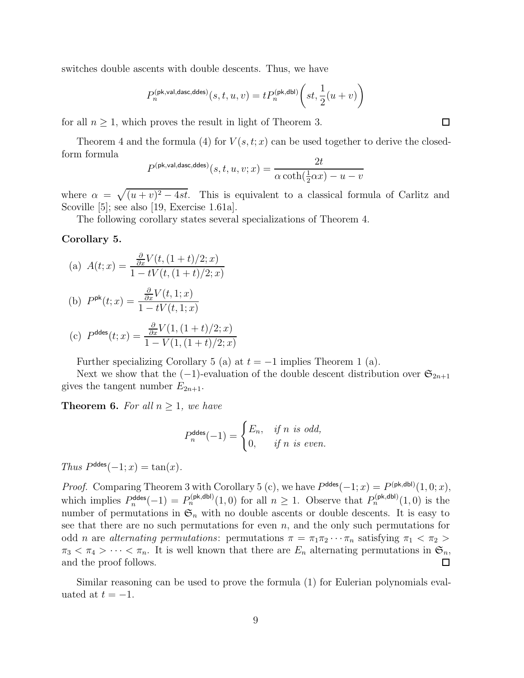switches double ascents with double descents. Thus, we have

$$
P_n^{(\mathrm{pk},\mathrm{val},\mathrm{dasc},\mathrm{ddes})}(s,t,u,v)=tP_n^{(\mathrm{pk},\mathrm{dbl})}\bigg(st,\frac{1}{2}(u+v)\bigg)
$$

for all  $n \geq 1$ , which proves the result in light of Theorem [3.](#page-6-0)

Theorem [4](#page-7-0) and the formula [\(4\)](#page-6-2) for  $V(s,t;x)$  can be used together to derive the closedform formula

$$
P^{(\text{pk}, \text{val}, \text{dasc}, \text{ddes})}(s, t, u, v; x) = \frac{2t}{\alpha \coth(\frac{1}{2}\alpha x) - u - v}
$$

where  $\alpha = \sqrt{(u + v)^2 - 4st}$ . This is equivalent to a classical formula of Carlitz and Scoville [\[5\]](#page-16-14); see also [\[19,](#page-16-15) Exercise 1.61a].

The following corollary states several specializations of Theorem [4.](#page-7-0)

#### <span id="page-8-0"></span>Corollary 5.

(a) 
$$
A(t; x) = \frac{\frac{\partial}{\partial x} V(t, (1+t)/2; x)}{1 - tV(t, (1+t)/2; x)}
$$

(b) 
$$
P^{\text{pk}}(t; x) = \frac{\frac{\partial}{\partial x} V(t, 1; x)}{1 - tV(t, 1; x)}
$$

(c) 
$$
P^{\text{ddes}}(t; x) = \frac{\frac{\partial}{\partial x} V(1, (1+t)/2; x)}{1 - V(1, (1+t)/2; x)}
$$

Further specializing Corollary [5](#page-8-0) (a) at  $t = -1$  implies Theorem [1](#page-2-0) (a).

Next we show that the  $(-1)$ -evaluation of the double descent distribution over  $\mathfrak{S}_{2n+1}$ gives the tangent number  $E_{2n+1}$ .

<span id="page-8-1"></span>**Theorem 6.** For all  $n \geq 1$ , we have

$$
P_n^{\text{ddes}}(-1) = \begin{cases} E_n, & \text{if } n \text{ is odd,} \\ 0, & \text{if } n \text{ is even.} \end{cases}
$$

Thus  $P^{\text{ddes}}(-1; x) = \tan(x)$ .

*Proof.* Comparing Theorem [3](#page-6-0) with Corollary [5](#page-8-0) (c), we have  $P^{\text{ddes}}(-1; x) = P^{\text{(pk,dbl)}}(1,0; x)$ , which implies  $P_n^{\text{ddes}}(-1) = P_n^{\text{(pk,dbl)}}(1,0)$  for all  $n \geq 1$ . Observe that  $P_n^{\text{(pk,dbl)}}(1,0)$  is the number of permutations in  $\mathfrak{S}_n$  with no double ascents or double descents. It is easy to see that there are no such permutations for even  $n$ , and the only such permutations for odd *n* are *alternating permutations*: permutations  $\pi = \pi_1 \pi_2 \cdots \pi_n$  satisfying  $\pi_1 < \pi_2 >$  $\pi_3 < \pi_4 > \cdots < \pi_n$ . It is well known that there are  $E_n$  alternating permutations in  $\mathfrak{S}_n$ , and the proof follows. and the proof follows.

Similar reasoning can be used to prove the formula [\(1\)](#page-1-2) for Eulerian polynomials evaluated at  $t = -1$ .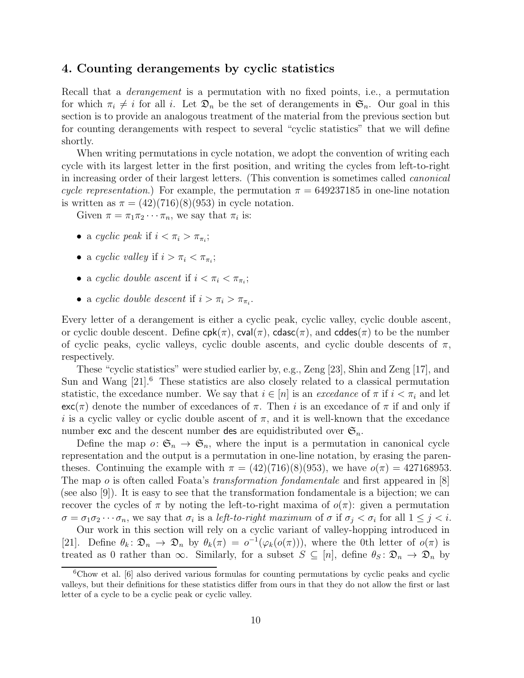## 4. Counting derangements by cyclic statistics

Recall that a *derangement* is a permutation with no fixed points, i.e., a permutation for which  $\pi_i \neq i$  for all i. Let  $\mathfrak{D}_n$  be the set of derangements in  $\mathfrak{S}_n$ . Our goal in this section is to provide an analogous treatment of the material from the previous section but for counting derangements with respect to several "cyclic statistics" that we will define shortly.

When writing permutations in cycle notation, we adopt the convention of writing each cycle with its largest letter in the first position, and writing the cycles from left-to-right in increasing order of their largest letters. (This convention is sometimes called canonical cycle representation.) For example, the permutation  $\pi = 649237185$  in one-line notation is written as  $\pi = (42)(716)(8)(953)$  in cycle notation.

Given  $\pi = \pi_1 \pi_2 \cdots \pi_n$ , we say that  $\pi_i$  is:

- a cyclic peak if  $i < \pi_i > \pi_{\pi_i}$ ;
- a cyclic valley if  $i > \pi_i < \pi_{\pi_i}$ ;
- a cyclic double ascent if  $i < \pi_i < \pi_{\pi_i}$ ;
- a cyclic double descent if  $i > \pi_i > \pi_{\pi_i}$ .

Every letter of a derangement is either a cyclic peak, cyclic valley, cyclic double ascent, or cyclic double descent. Define  $cpk(\pi)$ ,  $cval(\pi)$ ,  $cdasc(\pi)$ , and  $cddes(\pi)$  to be the number of cyclic peaks, cyclic valleys, cyclic double ascents, and cyclic double descents of  $\pi$ , respectively.

These "cyclic statistics" were studied earlier by, e.g., Zeng [\[23\]](#page-16-16), Shin and Zeng [\[17\]](#page-16-17), and Sun and Wang  $[21]$ <sup>[6](#page-9-0)</sup>. These statistics are also closely related to a classical permutation statistic, the excedance number. We say that  $i \in [n]$  is an *excedance* of  $\pi$  if  $i < \pi_i$  and let  $\mathsf{exc}(\pi)$  denote the number of excedances of  $\pi$ . Then i is an excedance of  $\pi$  if and only if i is a cyclic valley or cyclic double ascent of  $\pi$ , and it is well-known that the excedance number exc and the descent number des are equidistributed over  $\mathfrak{S}_n$ .

Define the map  $o: \mathfrak{S}_n \to \mathfrak{S}_n$ , where the input is a permutation in canonical cycle representation and the output is a permutation in one-line notation, by erasing the parentheses. Continuing the example with  $\pi = (42)(716)(8)(953)$ , we have  $o(\pi) = 427168953$ . The map o is often called Foata's transformation fondamentale and first appeared in  $[8]$ (see also [\[9\]](#page-16-2)). It is easy to see that the transformation fondamentale is a bijection; we can recover the cycles of  $\pi$  by noting the left-to-right maxima of  $o(\pi)$ : given a permutation  $\sigma = \sigma_1 \sigma_2 \cdots \sigma_n$ , we say that  $\sigma_i$  is a *left-to-right maximum* of  $\sigma$  if  $\sigma_j < \sigma_i$  for all  $1 \leq j < i$ .

Our work in this section will rely on a cyclic variant of valley-hopping introduced in [\[21\]](#page-16-5). Define  $\theta_k \colon \mathfrak{D}_n \to \mathfrak{D}_n$  by  $\theta_k(\pi) = o^{-1}(\varphi_k(o(\pi)))$ , where the 0th letter of  $o(\pi)$  is treated as 0 rather than  $\infty$ . Similarly, for a subset  $S \subseteq [n]$ , define  $\theta_S : \mathfrak{D}_n \to \mathfrak{D}_n$  by

<span id="page-9-0"></span><sup>6</sup>Chow et al. [\[6\]](#page-16-19) also derived various formulas for counting permutations by cyclic peaks and cyclic valleys, but their definitions for these statistics differ from ours in that they do not allow the first or last letter of a cycle to be a cyclic peak or cyclic valley.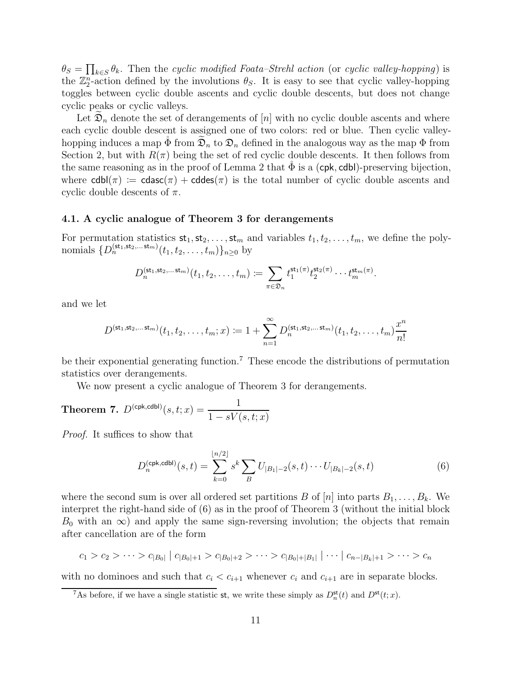$\theta_S = \prod_{k \in S} \theta_k$ . Then the cyclic modified Foata–Strehl action (or cyclic valley-hopping) is the  $\mathbb{Z}_2^n$ -action defined by the involutions  $\theta_S$ . It is easy to see that cyclic valley-hopping toggles between cyclic double ascents and cyclic double descents, but does not change cyclic peaks or cyclic valleys.

Let  $\mathfrak{D}_n$  denote the set of derangements of [n] with no cyclic double ascents and where each cyclic double descent is assigned one of two colors: red or blue. Then cyclic valleyhopping induces a map  $\Phi$  from  $\mathfrak{D}_n$  to  $\mathfrak{D}_n$  defined in the analogous way as the map  $\Phi$  from Section 2, but with  $R(\pi)$  being the set of red cyclic double descents. It then follows from the same reasoning as in the proof of Lemma [2](#page-4-1) that  $\Phi$  is a (cpk, cdb)-preserving bijection, where  $\text{cdbl}(\pi) := \text{cdasc}(\pi) + \text{cddes}(\pi)$  is the total number of cyclic double ascents and cyclic double descents of  $\pi$ .

#### 4.1. A cyclic analogue of Theorem 3 for derangements

For permutation statistics  $st_1, st_2, \ldots, st_m$  and variables  $t_1, t_2, \ldots, t_m$ , we define the polynomials  $\{D_n^{(\text{st}_1, \text{st}_2, \dots, \text{st}_m)}(t_1, t_2, \dots, t_m)\}_{n \geq 0}$  by

$$
D_n^{(\mathsf{st}_1, \mathsf{st}_2, \dots \mathsf{st}_m)}(t_1, t_2, \dots, t_m) \coloneqq \sum_{\pi \in \mathfrak{D}_n} t_1^{\mathsf{st}_1(\pi)} t_2^{\mathsf{st}_2(\pi)} \cdots t_m^{\mathsf{st}_m(\pi)}.
$$

and we let

$$
D^{(\mathsf{st}_1, \mathsf{st}_2, \dots, \mathsf{st}_m)}(t_1, t_2, \dots, t_m; x) \coloneqq 1 + \sum_{n=1}^{\infty} D_n^{(\mathsf{st}_1, \mathsf{st}_2, \dots, \mathsf{st}_m)}(t_1, t_2, \dots, t_m) \frac{x^n}{n!}
$$

be their exponential generating function.<sup>[7](#page-10-0)</sup> These encode the distributions of permutation statistics over derangements.

We now present a cyclic analogue of Theorem [3](#page-6-0) for derangements.

<span id="page-10-2"></span>**Theorem 7.** 
$$
D^{(\text{cpk}, \text{cdbl})}(s, t; x) = \frac{1}{1 - sV(s, t; x)}
$$

Proof. It suffices to show that

<span id="page-10-1"></span>
$$
D_n^{(\text{cpk},\text{cdbl})}(s,t) = \sum_{k=0}^{\lfloor n/2 \rfloor} s^k \sum_B U_{|B_1| - 2}(s,t) \cdots U_{|B_k| - 2}(s,t)
$$
(6)

where the second sum is over all ordered set partitions B of  $[n]$  into parts  $B_1, \ldots, B_k$ . We interpret the right-hand side of [\(6\)](#page-10-1) as in the proof of Theorem [3](#page-6-0) (without the initial block  $B_0$  with an  $\infty$ ) and apply the same sign-reversing involution; the objects that remain after cancellation are of the form

$$
c_1 > c_2 > \cdots > c_{|B_0|} |c_{|B_0|+1} > c_{|B_0|+2} > \cdots > c_{|B_0|+|B_1|} | \cdots |c_{n-|B_k|+1} > \cdots > c_n
$$

with no dominoes and such that  $c_i < c_{i+1}$  whenever  $c_i$  and  $c_{i+1}$  are in separate blocks.

<span id="page-10-0"></span><sup>&</sup>lt;sup>7</sup>As before, if we have a single statistic st, we write these simply as  $D_n^{\mathsf{st}}(t)$  and  $D^{\mathsf{st}}(t; x)$ .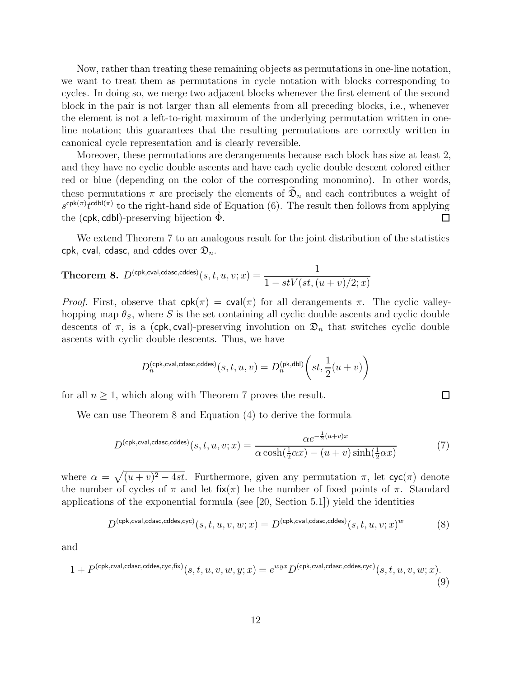Now, rather than treating these remaining objects as permutations in one-line notation, we want to treat them as permutations in cycle notation with blocks corresponding to cycles. In doing so, we merge two adjacent blocks whenever the first element of the second block in the pair is not larger than all elements from all preceding blocks, i.e., whenever the element is not a left-to-right maximum of the underlying permutation written in oneline notation; this guarantees that the resulting permutations are correctly written in canonical cycle representation and is clearly reversible.

Moreover, these permutations are derangements because each block has size at least 2, and they have no cyclic double ascents and have each cyclic double descent colored either red or blue (depending on the color of the corresponding monomino). In other words, these permutations  $\pi$  are precisely the elements of  $\mathfrak{D}_n$  and each contributes a weight of  $s^{\text{cpk}(\pi)}t^{\text{cdbl}(\pi)}$  to the right-hand side of Equation [\(6\)](#page-10-1). The result then follows from applying the (cpk, cdbl)-preserving bijection  $\Phi$ . П

We extend Theorem [7](#page-10-2) to an analogous result for the joint distribution of the statistics cpk, cval, cdasc, and cddes over  $\mathfrak{D}_n$ .

<span id="page-11-0"></span>**Theorem 8.** 
$$
D^{(\text{cpk,cval,cdasc,cddes})}(s,t,u,v;x) = \frac{1}{1 - stV(st,(u+v)/2;x)}
$$

*Proof.* First, observe that  $cpk(\pi) = cval(\pi)$  for all derangements  $\pi$ . The cyclic valleyhopping map  $\theta_S$ , where S is the set containing all cyclic double ascents and cyclic double descents of  $\pi$ , is a (cpk, cval)-preserving involution on  $\mathfrak{D}_n$  that switches cyclic double ascents with cyclic double descents. Thus, we have

$$
D_n^{(\text{cpk,cval,cdasc,cddes})}(s,t,u,v) = D_n^{(\text{pk,dbl})}\bigg(st,\frac{1}{2}(u+v)\bigg)
$$

for all  $n \geq 1$ , which along with Theorem [7](#page-10-2) proves the result.

We can use Theorem [8](#page-11-0) and Equation [\(4\)](#page-6-2) to derive the formula

<span id="page-11-1"></span>
$$
D^{(\text{cpk,cval,cdasc,cddes})}(s,t,u,v;x) = \frac{\alpha e^{-\frac{1}{2}(u+v)x}}{\alpha \cosh(\frac{1}{2}\alpha x) - (u+v)\sinh(\frac{1}{2}\alpha x)}
$$
(7)

where  $\alpha = \sqrt{(u + v)^2 - 4st}$ . Furthermore, given any permutation  $\pi$ , let  $\operatorname{cyc}(\pi)$  denote the number of cycles of  $\pi$  and let fix( $\pi$ ) be the number of fixed points of  $\pi$ . Standard applications of the exponential formula (see [\[20,](#page-16-13) Section 5.1]) yield the identities

<span id="page-11-2"></span>
$$
D^{(\text{cpk,cval}, \text{cdasc}, \text{cddes}, \text{cyc})}(s, t, u, v, w; x) = D^{(\text{cpk,cval}, \text{cdasc}, \text{cddes})}(s, t, u, v; x)^w
$$
(8)

and

<span id="page-11-3"></span>
$$
1 + P^{(\text{cpk,cval,cdasc,cddes,cyc,fix})}(s, t, u, v, w, y; x) = e^{wyx} D^{(\text{cpk,cval,cdasc,cddes,cyc})}(s, t, u, v, w; x).
$$
\n(9)

 $\Box$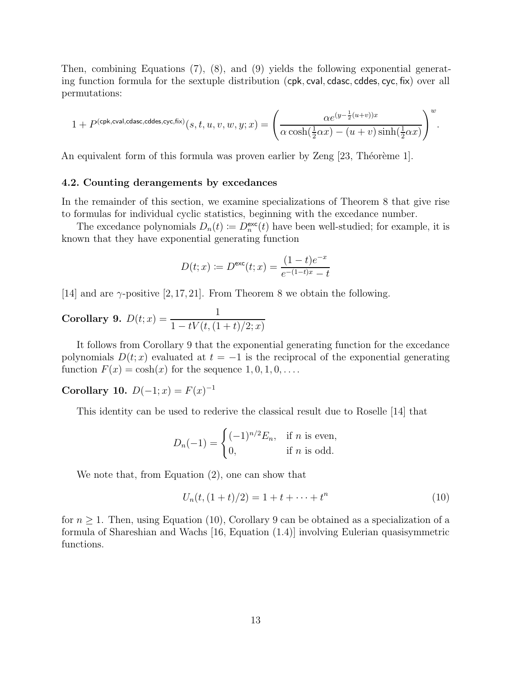Then, combining Equations [\(7\)](#page-11-1), [\(8\)](#page-11-2), and [\(9\)](#page-11-3) yields the following exponential generating function formula for the sextuple distribution (cpk, cval, cdasc, cddes, cyc, fix) over all permutations:

$$
1+P^{(\text{cpk,cval,cdasc,cddes,cyc,fix})}(s,t,u,v,w,y;x)=\Bigg(\frac{\alpha e^{(y-\frac{1}{2}(u+v))x}}{\alpha \cosh(\frac{1}{2}\alpha x)-(u+v)\sinh(\frac{1}{2}\alpha x)}\Bigg)^w.
$$

An equivalent form of this formula was proven earlier by Zeng [\[23,](#page-16-16) Théorème 1].

#### 4.2. Counting derangements by excedances

In the remainder of this section, we examine specializations of Theorem [8](#page-11-0) that give rise to formulas for individual cyclic statistics, beginning with the excedance number.

The excedance polynomials  $D_n(t) := D_n^{\text{exc}}(t)$  have been well-studied; for example, it is known that they have exponential generating function

$$
D(t; x) := D^{\text{exc}}(t; x) = \frac{(1-t)e^{-x}}{e^{-(1-t)x} - t}
$$

[\[14\]](#page-16-20) and are  $\gamma$ -positive [2,17, [21\]](#page-16-5). From Theorem [8](#page-11-0) we obtain the following.

<span id="page-12-0"></span>**Corollary 9.** 
$$
D(t; x) = \frac{1}{1 - tV(t, (1+t)/2; x)}
$$

It follows from Corollary [9](#page-12-0) that the exponential generating function for the excedance polynomials  $D(t; x)$  evaluated at  $t = -1$  is the reciprocal of the exponential generating function  $F(x) = \cosh(x)$  for the sequence  $1, 0, 1, 0, \ldots$ .

Corollary 10.  $D(-1; x) = F(x)^{-1}$ 

This identity can be used to rederive the classical result due to Roselle [\[14\]](#page-16-20) that

$$
D_n(-1) = \begin{cases} (-1)^{n/2} E_n, & \text{if } n \text{ is even,} \\ 0, & \text{if } n \text{ is odd.} \end{cases}
$$

We note that, from Equation [\(2\)](#page-5-0), one can show that

<span id="page-12-1"></span>
$$
U_n(t, (1+t)/2) = 1 + t + \dots + t^n
$$
\n(10)

for  $n \geq 1$ . Then, using Equation [\(10\)](#page-12-1), Corollary [9](#page-12-0) can be obtained as a specialization of a formula of Shareshian and Wachs [\[16,](#page-16-21) Equation (1.4)] involving Eulerian quasisymmetric functions.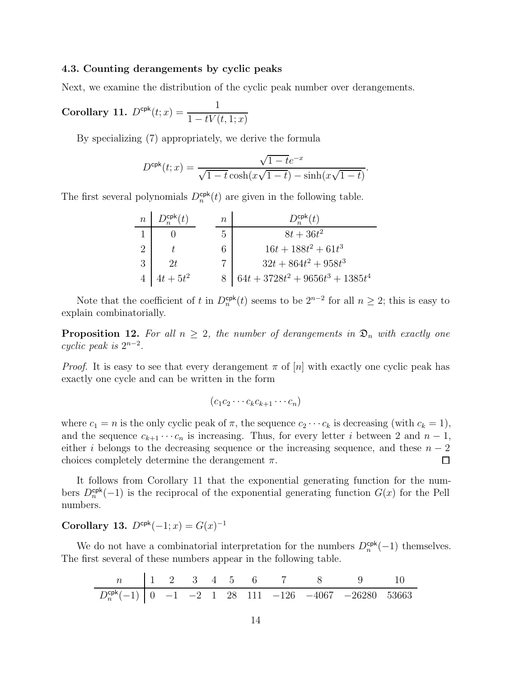#### 4.3. Counting derangements by cyclic peaks

Next, we examine the distribution of the cyclic peak number over derangements.

<span id="page-13-0"></span>**Corollary 11.** 
$$
D^{\text{cpk}}(t; x) = \frac{1}{1 - tV(t, 1; x)}
$$

By specializing [\(7\)](#page-11-1) appropriately, we derive the formula

$$
D^{\text{cpk}}(t;x)=\frac{\sqrt{1-t}e^{-x}}{\sqrt{1-t}\cosh(x\sqrt{1-t})-\sinh(x\sqrt{1-t})}
$$

.

The first several polynomials  $D_n^{\text{cpk}}(t)$  are given in the following table.

| n | $D_n^{\text{cpk}}(t)$ | n | $D_n^{\text{cpk}}(t)$               |
|---|-----------------------|---|-------------------------------------|
| 1 | 0                     | 5 | $8t + 36t^2$                        |
| 2 | t                     | 6 | $16t + 188t^2 + 61t^3$              |
| 3 | 2t                    | 7 | $32t + 864t^2 + 958t^3$             |
| 4 | $4t + 5t^2$           | 8 | $64t + 3728t^2 + 9656t^3 + 1385t^4$ |

Note that the coefficient of t in  $D_n^{\text{cpk}}(t)$  seems to be  $2^{n-2}$  for all  $n \geq 2$ ; this is easy to explain combinatorially.

**Proposition 12.** For all  $n \geq 2$ , the number of derangements in  $\mathfrak{D}_n$  with exactly one cyclic peak is  $2^{n-2}$ .

*Proof.* It is easy to see that every derangement  $\pi$  of  $[n]$  with exactly one cyclic peak has exactly one cycle and can be written in the form

$$
(c_1c_2\cdots c_kc_{k+1}\cdots c_n)
$$

where  $c_1 = n$  is the only cyclic peak of  $\pi$ , the sequence  $c_2 \cdots c_k$  is decreasing (with  $c_k = 1$ ), and the sequence  $c_{k+1} \cdots c_n$  is increasing. Thus, for every letter i between 2 and  $n-1$ , either *i* belongs to the decreasing sequence or the increasing sequence, and these  $n - 2$  choices completely determine the derangement  $\pi$ . choices completely determine the derangement  $\pi$ .

It follows from Corollary [11](#page-13-0) that the exponential generating function for the numbers  $D_n^{\text{cpk}}(-1)$  is the reciprocal of the exponential generating function  $G(x)$  for the Pell numbers.

Corollary 13.  $D^{cpk}(-1; x) = G(x)^{-1}$ 

We do not have a combinatorial interpretation for the numbers  $D_n^{\text{cpk}}(-1)$  themselves. The first several of these numbers appear in the following table.

| n                      | 1 | 2  | 3  | 4 | 5  | 6   | 7    | 8     | 9      | 10    |
|------------------------|---|----|----|---|----|-----|------|-------|--------|-------|
| $D_n^{\text{cpk}}(-1)$ | 0 | -1 | -2 | 1 | 28 | 111 | -126 | -4067 | -26280 | 53663 |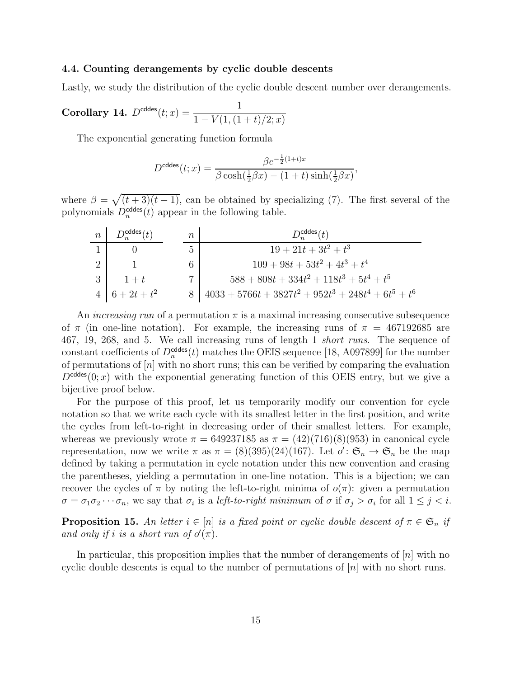#### 4.4. Counting derangements by cyclic double descents

Lastly, we study the distribution of the cyclic double descent number over derangements.

<span id="page-14-0"></span>Corollary 14. 
$$
D^{\text{cddes}}(t; x) = \frac{1}{1 - V(1, (1+t)/2; x)}
$$

The exponential generating function formula

$$
D^{\text{cddes}}(t;x) = \frac{\beta e^{-\frac{1}{2}(1+t)x}}{\beta \cosh(\frac{1}{2}\beta x) - (1+t)\sinh(\frac{1}{2}\beta x)},
$$

where  $\beta = \sqrt{(t+3)(t-1)}$ , can be obtained by specializing [\(7\)](#page-11-1). The first several of the polynomials  $D_n^{\text{cddes}}(t)$  appear in the following table.

| $\boldsymbol{n}$ | $D_n^{\text{cddes}}(t)$ | $\, n$ | $D_{r}^{cddes}(t)$                                       |
|------------------|-------------------------|--------|----------------------------------------------------------|
|                  |                         | 5      | $19+21t+3t^2+t^3$                                        |
|                  |                         | 6      | $109 + 98t + 53t^2 + 4t^3 + t^4$                         |
|                  | $1+t$                   | 7      | $588 + 808t + 334t^2 + 118t^3 + 5t^4 + t^5$              |
|                  | $4\mid 6+2t+t^2$        |        | $14033 + 5766t + 3827t^2 + 952t^3 + 248t^4 + 6t^5 + t^6$ |

An *increasing run* of a permutation  $\pi$  is a maximal increasing consecutive subsequence of  $\pi$  (in one-line notation). For example, the increasing runs of  $\pi = 467192685$  are 467, 19, 268, and 5. We call increasing runs of length 1 short runs. The sequence of constant coefficients of  $D_n^{\text{cddes}}(t)$  matches the OEIS sequence [\[18,](#page-16-3) A097899] for the number of permutations of  $[n]$  with no short runs; this can be verified by comparing the evaluation  $D^{\text{cddes}}(0; x)$  with the exponential generating function of this OEIS entry, but we give a bijective proof below.

For the purpose of this proof, let us temporarily modify our convention for cycle notation so that we write each cycle with its smallest letter in the first position, and write the cycles from left-to-right in decreasing order of their smallest letters. For example, whereas we previously wrote  $\pi = 649237185$  as  $\pi = (42)(716)(8)(953)$  in canonical cycle representation, now we write  $\pi$  as  $\pi = (8)(395)(24)(167)$ . Let  $o' : \mathfrak{S}_n \to \mathfrak{S}_n$  be the map defined by taking a permutation in cycle notation under this new convention and erasing the parentheses, yielding a permutation in one-line notation. This is a bijection; we can recover the cycles of  $\pi$  by noting the left-to-right minima of  $o(\pi)$ : given a permutation  $\sigma = \sigma_1 \sigma_2 \cdots \sigma_n$ , we say that  $\sigma_i$  is a *left-to-right minimum* of  $\sigma$  if  $\sigma_j > \sigma_i$  for all  $1 \leq j < i$ .

**Proposition 15.** An letter  $i \in [n]$  is a fixed point or cyclic double descent of  $\pi \in \mathfrak{S}_n$  if and only if i is a short run of  $o'(\pi)$ .

In particular, this proposition implies that the number of derangements of  $[n]$  with no cyclic double descents is equal to the number of permutations of  $[n]$  with no short runs.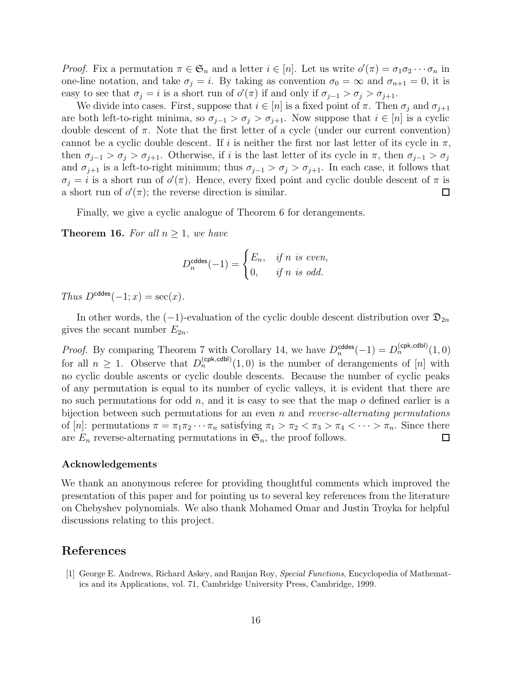*Proof.* Fix a permutation  $\pi \in \mathfrak{S}_n$  and a letter  $i \in [n]$ . Let us write  $o'(\pi) = \sigma_1 \sigma_2 \cdots \sigma_n$  in one-line notation, and take  $\sigma_j = i$ . By taking as convention  $\sigma_0 = \infty$  and  $\sigma_{n+1} = 0$ , it is easy to see that  $\sigma_j = i$  is a short run of  $o'(\pi)$  if and only if  $\sigma_{j-1} > \sigma_j > \sigma_{j+1}$ .

We divide into cases. First, suppose that  $i \in [n]$  is a fixed point of  $\pi$ . Then  $\sigma_i$  and  $\sigma_{i+1}$ are both left-to-right minima, so  $\sigma_{i-1} > \sigma_i > \sigma_{i+1}$ . Now suppose that  $i \in [n]$  is a cyclic double descent of  $\pi$ . Note that the first letter of a cycle (under our current convention) cannot be a cyclic double descent. If i is neither the first nor last letter of its cycle in  $\pi$ , then  $\sigma_{j-1} > \sigma_j > \sigma_{j+1}$ . Otherwise, if i is the last letter of its cycle in  $\pi$ , then  $\sigma_{j-1} > \sigma_j$ and  $\sigma_{j+1}$  is a left-to-right minimum; thus  $\sigma_{j-1} > \sigma_j > \sigma_{j+1}$ . In each case, it follows that  $\sigma_j = i$  is a short run of  $o'(\pi)$ . Hence, every fixed point and cyclic double descent of  $\pi$  is a short run of  $o'(\pi)$ ; the reverse direction is similar. 囗

Finally, we give a cyclic analogue of Theorem [6](#page-8-1) for derangements.

**Theorem 16.** For all  $n > 1$ , we have

$$
D_n^{\text{cddes}}(-1) = \begin{cases} E_n, & \text{if } n \text{ is even,} \\ 0, & \text{if } n \text{ is odd.} \end{cases}
$$

Thus  $D^{\text{cddes}}(-1; x) = \sec(x)$ .

In other words, the  $(-1)$ -evaluation of the cyclic double descent distribution over  $\mathfrak{D}_{2n}$ gives the secant number  $E_{2n}$ .

*Proof.* By comparing Theorem [7](#page-10-2) with Corollary [14,](#page-14-0) we have  $D_n^{\text{cddes}}(-1) = D_n^{\text{(cpk,cdbl)}}(1,0)$ for all  $n \geq 1$ . Observe that  $D_n^{(cpk, cdb)}(1,0)$  is the number of derangements of [n] with no cyclic double ascents or cyclic double descents. Because the number of cyclic peaks of any permutation is equal to its number of cyclic valleys, it is evident that there are no such permutations for odd  $n$ , and it is easy to see that the map  $o$  defined earlier is a bijection between such permutations for an even n and reverse-alternating permutations of [n]: permutations  $\pi = \pi_1 \pi_2 \cdots \pi_n$  satisfying  $\pi_1 > \pi_2 < \pi_3 > \pi_4 < \cdots > \pi_n$ . Since there are  $E_n$  reverse-alternating permutations in  $\mathfrak{S}_n$ , the proof follows. are  $E_n$  reverse-alternating permutations in  $\mathfrak{S}_n$ , the proof follows.

#### Acknowledgements

We thank an anonymous referee for providing thoughtful comments which improved the presentation of this paper and for pointing us to several key references from the literature on Chebyshev polynomials. We also thank Mohamed Omar and Justin Troyka for helpful discussions relating to this project.

## References

<span id="page-15-0"></span>[1] George E. Andrews, Richard Askey, and Ranjan Roy, *Special Functions*, Encyclopedia of Mathematics and its Applications, vol. 71, Cambridge University Press, Cambridge, 1999.